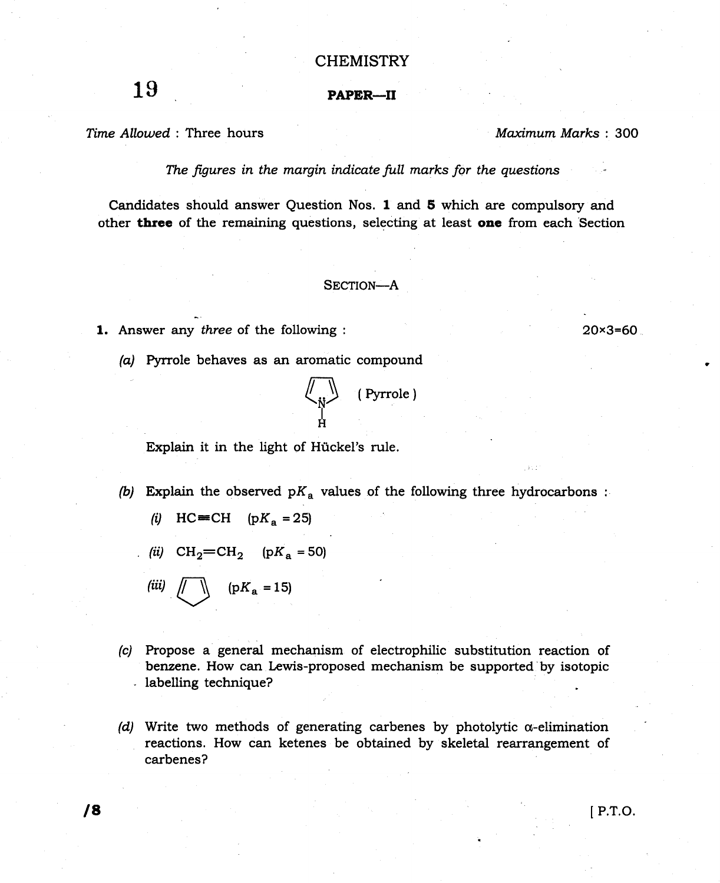## **CHEMISTRY**

## PAPER-II

Time Allowed : Three hours

19

Maximum Marks: 300

 $20 \times 3 = 60$ 

The figures in the margin indicate full marks for the questions

Candidates should answer Question Nos. I and 5 which are compulsory and other three of the remaining questions, selecting at least one from each Section

## SECTION-A

- 1. Answer any three of the following :
	- (a) Pyrrole behaves as an aromatic compound

(Pyrrole)

'l Explain it in the light of Huckel's rule.

- (b) Explain the observed  $pK_a$  values of the following three hydrocarbons :
	- (i)  $HC = CH$  (p $K_a = 25$ )
	- (ii)  $CH_2=CH_2$  (p $K_a = 50$ )

(iii)  $\sqrt{|\mathbf{K}_a|}$  =15)

- (c) Propose a general mechanism of electrophilic substitution reaction of benzene. How can Lewis-proposed mechanism be supported'by isotopic labelling technique?
- (d) Write two methods of generating carbenes by photolytic  $\alpha$ -elimination reactions. How can ketenes be obtained by skeletal rearrangement of carbenes?

l8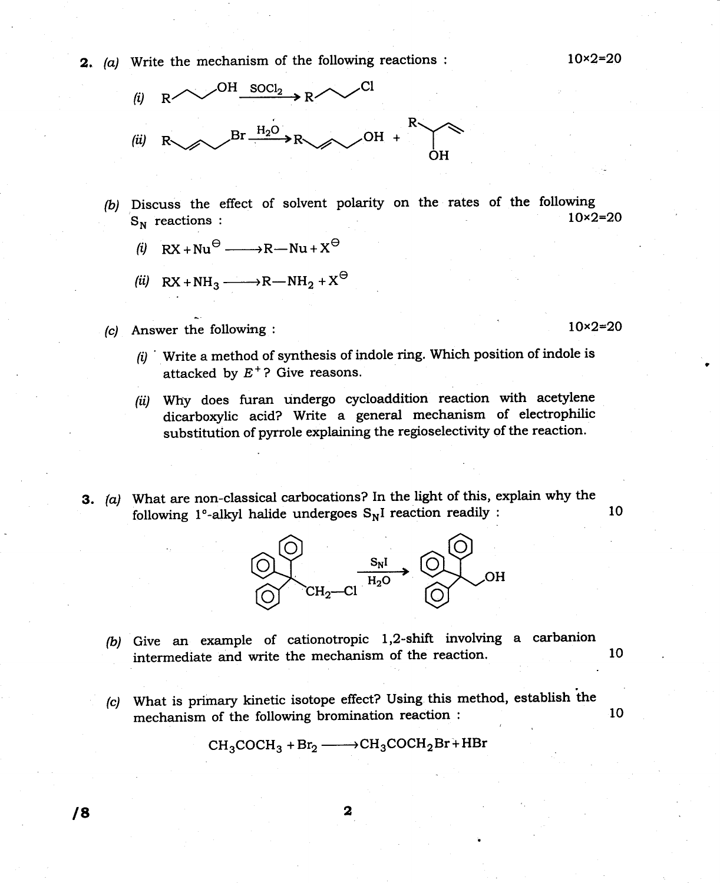**2.** (a) Write the mechanism of the following reactions :  $10 \times 2 = 20$ 



- (b) Discuss the effect of solvent polarity on the rates of the following<br>  $S$  reactions<br>  $10 \times 2=20$  $S_N$  reactions :
	- (i)  $RX + Nu^{\Theta} \longrightarrow R Nu + X^{\Theta}$
	- (ii)  $RX + NH_3 \longrightarrow R-MH_2 + X^{\ominus}$
- (c) Answer the following :  $10 \times 2 = 20$ 
	- $f(i)$  ' Write a method of synthesis of indole ring. Which position of indole is attacked by  $E^+$ ? Give reasons.
	- (ii) Why does furan undergo cycloaddition reaction with acetylene dicarboxylic acid? Write a general mechanism of electrophilic substitution of pyrrole explaining the regioselectivity of the reaction.
- 3. (a) What are non-classical carbocations? In the light of this, explain why the following  $1^{\circ}$ -alkyl halide undergoes  $S_N I$  reaction readily :  $10$



- (b) Give an example of cationotropic l,2-shift involving a carbanion intermediate and write the mechanism of the reaction. <sup>10</sup>
- (c) What is primary kinetic isotope effect? Using this method, establish the mechanism of the following bromination reaction : <sup>10</sup>

 $CH_3COCH_3 + Br_2 \longrightarrow CH_3COCH_2Br + HBr$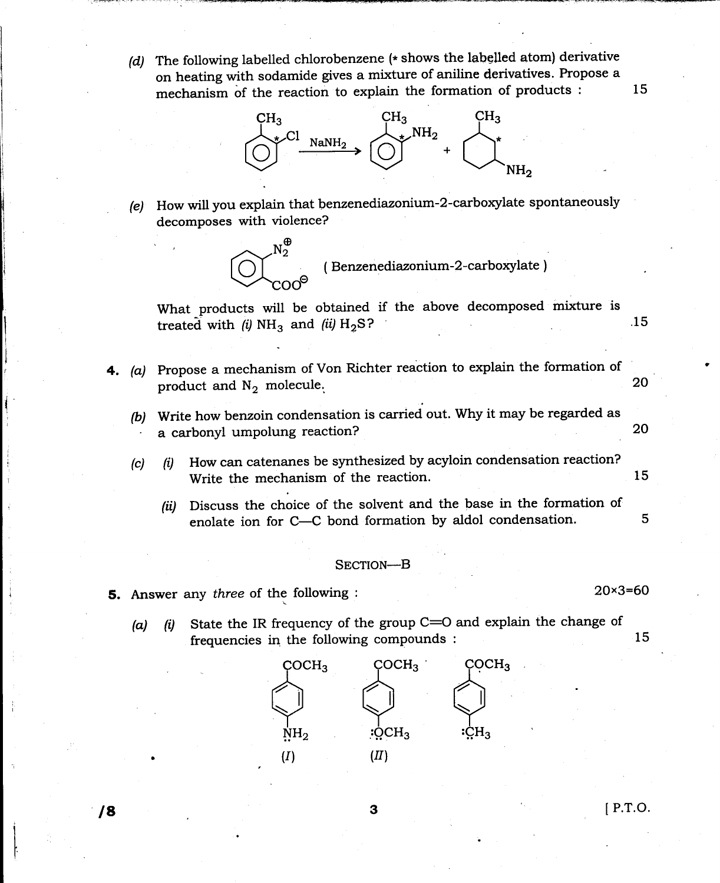(d) The following labelled chlorobenzene ( $*$  shows the labelled atom) derivative on heating with sodamide gives a mixture of aniline derivatives. Propose a mechanism of the reaction to explain the formation of products : 15



 $(e)$  How will you explain that benzenediazonium-2-carboxylate spontaneously decomposes with violence?

> $N_{2}^{\bigoplus}$ ( Benzenediazonium-2 -carboxylate )  ${\rm coo}$ a

What products will be obtained if the above decomposed mixture is treated with  $(i)$  NH<sub>3</sub> and  $(ii)$  H<sub>2</sub>S? 15

- 4. (a) Propose a mechanism of Von Richter reaction to explain the formation of product and  $N_2$  molecule. 20
	- (b) Write how benzoin condensation is carried out. Why it may be regarded as a carbonyl umpolung reaction? 20
	- (c)  $(i)$  How can catenanes be synthesized by acyloin condensation reaction? Write the mechanism of the reaction. 15
		- (ii) Discuss the choice of the solvent and the base in the formation of enolate ion for C-C bond formation by aldol condensation. 5

## SECTION-B

- 5. Answer any three of the following :
	- (a) (i) State the IR frequency of the group  $C=O$  and explain the change of frequencies in the following compounds :  $15$



**3 b** IP.T.O.

20x3=60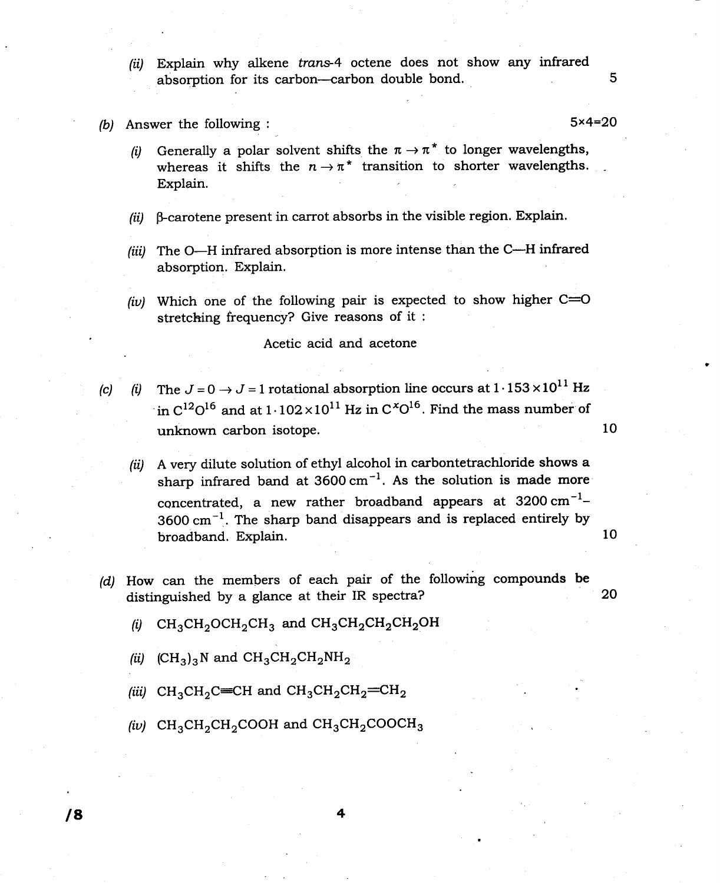- (ii) Explain why alkene trans-4 octene does not show any infrared absorption for its carbon--carbon double bond.
- (b) Answer the following :  $5 \times 4 = 20$

5

- (i) Generally a polar solvent shifts the  $\pi \to \pi^*$  to longer wavelengths whereas it shifts the  $n \to \pi^*$  transition to shorter wavelengths. Explain.
- $(ii)$  B-carotene present in carrot absorbs in the visible region. Explain.
- (iii) The O-H infrared absorption is more intense than the C-H infrared absorption. Explain.
- (iv) Which one of the following pair is expected to show higher  $C=O$ stretching frequency? Give reasons of it :

Acetic acid and acetone

- (c) (i) The  $J=0 \rightarrow J=1$  rotational absorption line occurs at  $1.153 \times 10^{11}$  Hz in  $C^{12}O^{16}$  and at  $1.102 \times 10^{11}$  Hz in  $C^{x}O^{16}$ . Find the mass number of unknown carbon isotope.
	- (ii) A very dilute solution of ethyl alcohol in carbontetrachloride shows a sharp infrared band at  $3600 \text{ cm}^{-1}$ . As the solution is made more concentrated, a new rather broadband appears at  $3200 \text{ cm}^{-1}$ - $3600 \text{ cm}^{-1}$ . The sharp band disappears and is replaced entirely by broadband. Explain.
- (d) How can the members of each pair of the following compounds be distinguished by a glance at their IR spectra? 20
	- (i)  $CH_3CH_2OCH_2CH_3$  and  $CH_3CH_2CH_2CH_2OH$
	- (ii)  $(CH_3)_3N$  and  $CH_3CH_2CH_2NH_2$
	- (iii)  $CH_3CH_2C=CH$  and  $CH_3CH_2CH_2=CH_2$
	- (iv)  $CH_3CH_2CH_2COOH$  and  $CH_3CH_2COOCH_3$

10

10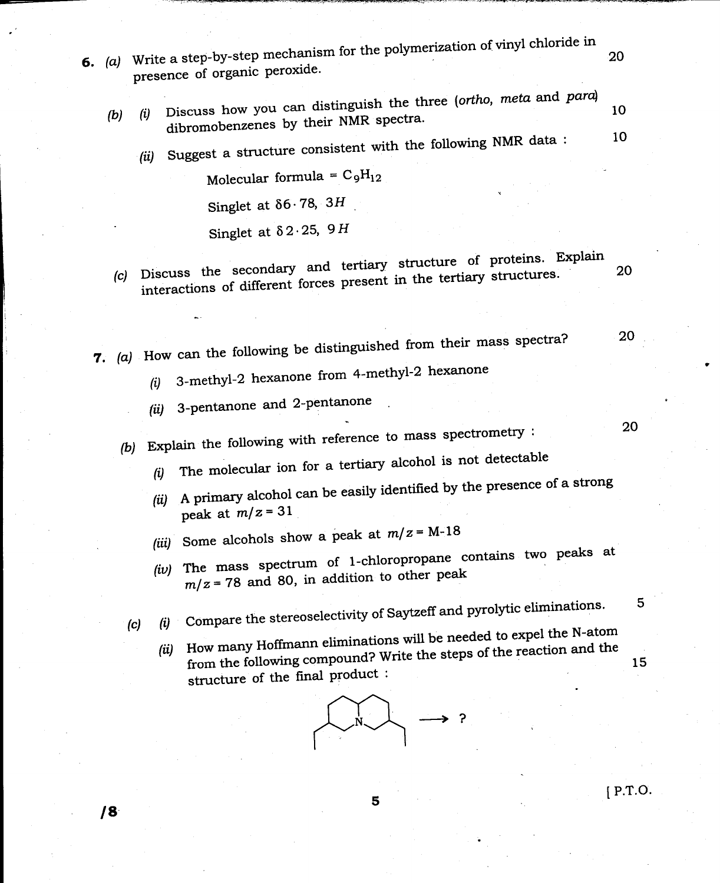- 6.  $(a)$  Write a step-by-step mechanism for the polymerization of vinyl chloride in 20 presence of organic peroxide.
	- Discuss how you can distinguish the three (ortho, meta and para) 10 (i)  $(b)$ dibromobenzenes by their NMR spectra. 10
		- Suggest a structure consistent with the following NMR data: (ii)

Molecular formula =  $C_9H_{12}$ 

Singlet at  $\delta 6.78$ , 3H

Singlet at  $\delta 2.25$ , 9H

(c) Discuss the secondary and tertiary structure of proteins. Explain interactions of different forces present in the tertiary structures. 20

20

20

5

 $[$  P.T.O.

7. (a) How can the following be distinguished from their mass spectra?

- 3-methyl-2 hexanone from 4-methyl-2 hexanone  $(i)$
- 3-pentanone and 2-pentanone  $(ii)$
- (b) Explain the following with reference to mass spectrometry :
	- The molecular ion for a tertiary alcohol is not detectable  $(i)$
	- A primary alcohol can be easily identified by the presence of a strong  $(ii)$ peak at  $m/z = 31$
	- (iii) Some alcohols show a peak at  $m/z = M-18$
	- The mass spectrum of 1-chloropropane contains two peaks at  $(iv)$  $m/z = 78$  and 80, in addition to other peak

Compare the stereoselectivity of Saytzeff and pyrolytic eliminations.  $(i)$  $(c)$ 

How many Hoffmann eliminations will be needed to expel the N-atom from the following compound? Write the steps of the reaction and the  $(ii)$ 15 structure of the final product:



5